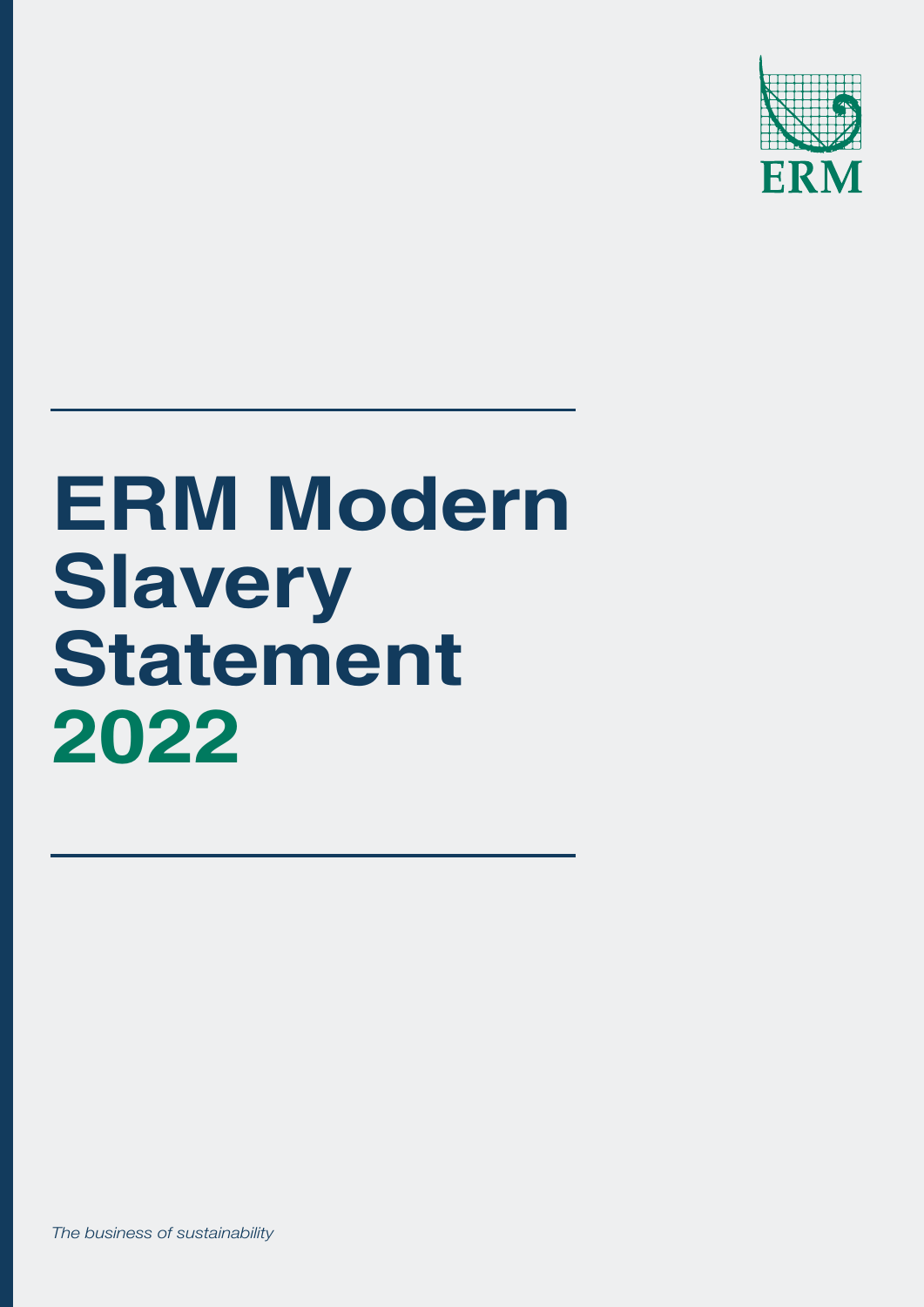

# **ERM Modern Slavery Statement 2022**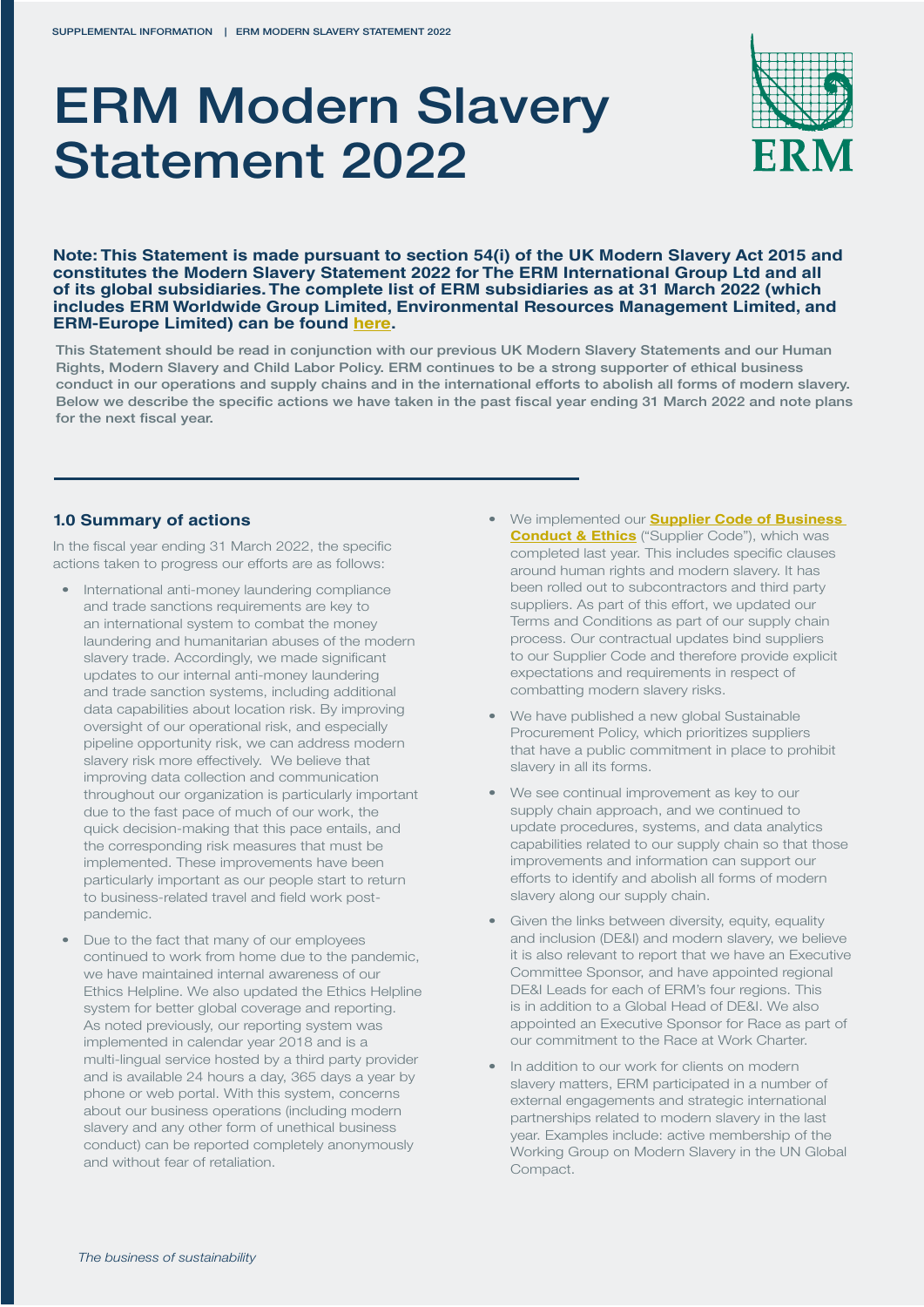# ERM Modern Slavery Statement 2022



**Note: This Statement is made pursuant to section 54(i) of the UK Modern Slavery Act 2015 and constitutes the Modern Slavery Statement 2022 for The ERM International Group Ltd and all of its global subsidiaries. The complete list of ERM subsidiaries as at 31 March 2022 (which includes ERM Worldwide Group Limited, Environmental Resources Management Limited, and ERM-Europe Limited) can be found [here](https://www.erm.com/globalassets/documents/global-policies/2022-list-of-erm-subsidiaries.pdf).**

This Statement should be read in conjunction with our [previous UK Modern Slavery Statements](https://www.erm.com/about/company/business-conduct-ethics/modern-slavery-act-statement/) and our [Human](https://www.erm.com/globalassets/documents/global-policies/slavery-child-labor-human-trafficking-policy-2019.pdf)  [Rights, Modern Slavery and Child Labor Policy.](https://www.erm.com/globalassets/documents/global-policies/slavery-child-labor-human-trafficking-policy-2019.pdf) ERM continues to be a strong supporter of ethical business conduct in our operations and supply chains and in the international efforts to abolish all forms of modern slavery. Below we describe the specific actions we have taken in the past fiscal year ending 31 March 2022 and note plans for the next fiscal year.

#### **1.0 Summary of actions**

In the fiscal year ending 31 March 2022, the specific actions taken to progress our efforts are as follows:

- International anti-money laundering compliance and trade sanctions requirements are key to an international system to combat the money laundering and humanitarian abuses of the modern slavery trade. Accordingly, we made significant updates to our internal anti-money laundering and trade sanction systems, including additional data capabilities about location risk. By improving oversight of our operational risk, and especially pipeline opportunity risk, we can address modern slavery risk more effectively. We believe that improving data collection and communication throughout our organization is particularly important due to the fast pace of much of our work, the quick decision-making that this pace entails, and the corresponding risk measures that must be implemented. These improvements have been particularly important as our people start to return to business-related travel and field work postpandemic.
- Due to the fact that many of our employees continued to work from home due to the pandemic, we have maintained internal awareness of our Ethics Helpline. We also updated the Ethics Helpline system for better global coverage and reporting. As noted previously, our reporting system was implemented in calendar year 2018 and is a multi-lingual service hosted by a third party provider and is available 24 hours a day, 365 days a year by phone or web portal. With this system, concerns about our business operations (including modern slavery and any other form of unethical business conduct) can be reported completely anonymously and without fear of retaliation.
- We implemented our **[Supplier Code of Business](https://www.erm.com/globalassets/documents/global-policies/supplier-code-business-conduct-ethics.pdf)  [Conduct & Ethics](https://www.erm.com/globalassets/documents/global-policies/supplier-code-business-conduct-ethics.pdf)** ("Supplier Code"), which was completed last year. This includes specific clauses around human rights and modern slavery. It has been rolled out to subcontractors and third party suppliers. As part of this effort, we updated our Terms and Conditions as part of our supply chain process. Our contractual updates bind suppliers to our Supplier Code and therefore provide explicit expectations and requirements in respect of combatting modern slavery risks.
- We have published a new global Sustainable Procurement Policy, which prioritizes suppliers that have a public commitment in place to prohibit slavery in all its forms.
- We see continual improvement as key to our supply chain approach, and we continued to update procedures, systems, and data analytics capabilities related to our supply chain so that those improvements and information can support our efforts to identify and abolish all forms of modern slavery along our supply chain.
- Given the links between diversity, equity, equality and inclusion (DE&I) and modern slavery, we believe it is also relevant to report that we have an Executive Committee Sponsor, and have appointed regional DE&I Leads for each of ERM's four regions. This is in addition to a Global Head of DE&I. We also appointed an Executive Sponsor for Race as part of our commitment to the Race at Work Charter.
- In addition to our work for clients on modern slavery matters, ERM participated in a number of external engagements and strategic international partnerships related to modern slavery in the last year. Examples include: active membership of the Working Group on Modern Slavery in the UN Global Compact.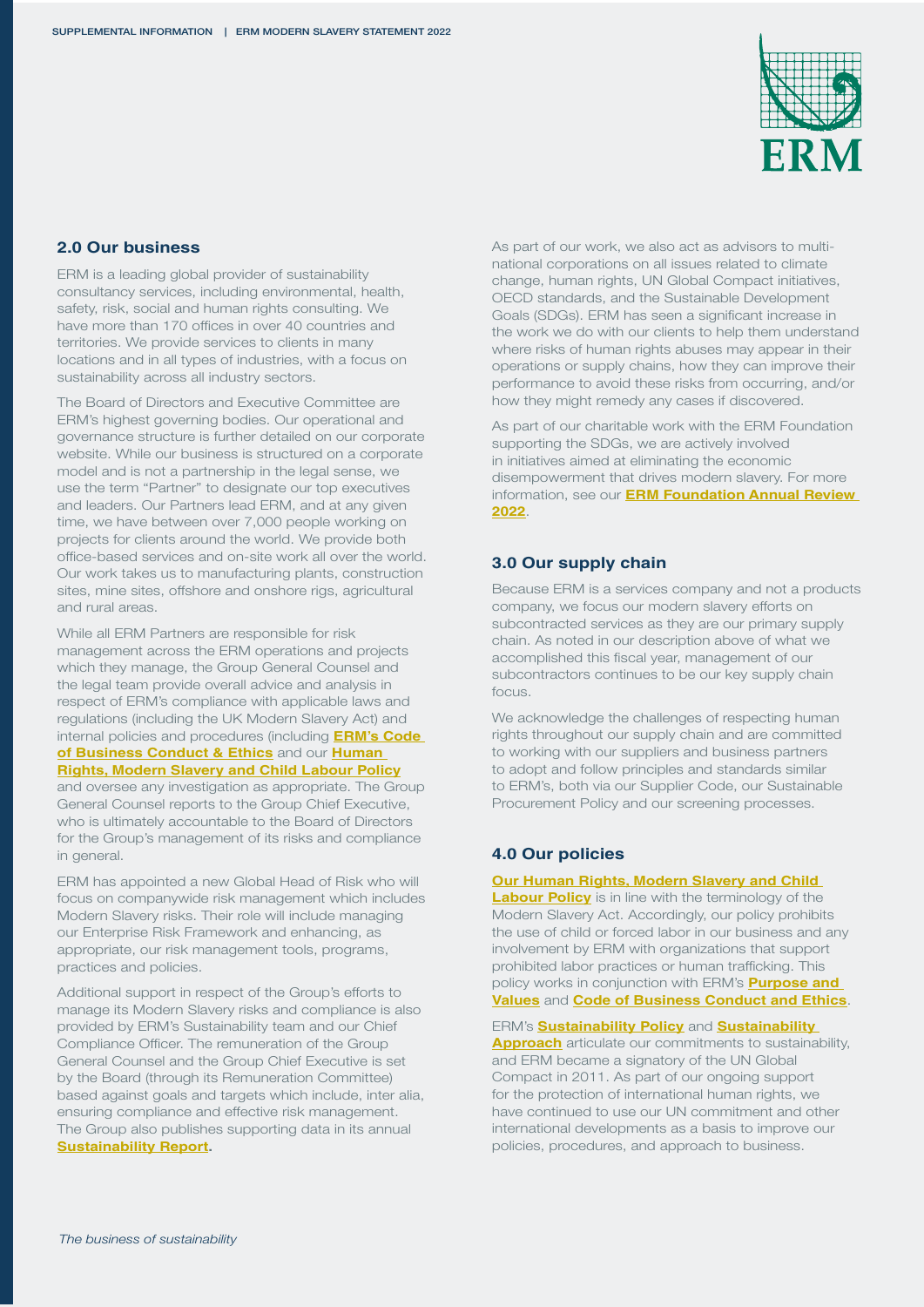

## **2.0 Our business**

ERM is a leading global provider of sustainability consultancy services, including environmental, health, safety, risk, social and human rights consulting. We have more than 170 offices in over 40 countries and territories. We provide services to clients in many locations and in all types of industries, with a focus on sustainability across all industry sectors.

The Board of Directors and Executive Committee are ERM's highest governing bodies. Our operational and governance structure is further detailed on our corporate website. While our business is structured on a corporate model and is not a partnership in the legal sense, we use the term "Partner" to designate our top executives and leaders. Our Partners lead ERM, and at any given time, we have between over 7,000 people working on projects for clients around the world. We provide both office-based services and on-site work all over the world. Our work takes us to manufacturing plants, construction sites, mine sites, offshore and onshore rigs, agricultural and rural areas.

While all ERM Partners are responsible for risk management across the ERM operations and projects which they manage, the Group General Counsel and the legal team provide overall advice and analysis in respect of ERM's compliance with applicable laws and regulations (including the UK Modern Slavery Act) and internal policies and procedures (including **[ERM's Code](https://www.erm.com/about/company/business-conduct-ethics/erms-global-code/)  [of Business Conduct & Ethics](https://www.erm.com/about/company/business-conduct-ethics/erms-global-code/)** and our **[Human](https://www.erm.com/globalassets/documents/global-policies/human-rights-modern-slavery-and-child-labor-policy-2022.pdf)  [Rights, Modern Slavery and Child Labour Policy](https://www.erm.com/globalassets/documents/global-policies/human-rights-modern-slavery-and-child-labor-policy-2022.pdf)**

and oversee any investigation as appropriate. The Group General Counsel reports to the Group Chief Executive, who is ultimately accountable to the Board of Directors for the Group's management of its risks and compliance in general.

ERM has appointed a new Global Head of Risk who will focus on companywide risk management which includes Modern Slavery risks. Their role will include managing our Enterprise Risk Framework and enhancing, as appropriate, our risk management tools, programs, practices and policies.

Additional support in respect of the Group's efforts to manage its Modern Slavery risks and compliance is also provided by ERM's Sustainability team and our Chief Compliance Officer. The remuneration of the Group General Counsel and the Group Chief Executive is set by the Board (through its Remuneration Committee) based against goals and targets which include, inter alia, ensuring compliance and effective risk management. The Group also publishes supporting data in its annual **[Sustainability Report](https://www.erm.com/sustainability-report/).**

As part of our work, we also act as advisors to multinational corporations on all issues related to climate change, human rights, UN Global Compact initiatives, OECD standards, and the Sustainable Development Goals (SDGs). ERM has seen a significant increase in the work we do with our clients to help them understand where risks of human rights abuses may appear in their operations or supply chains, how they can improve their performance to avoid these risks from occurring, and/or how they might remedy any cases if discovered.

As part of our charitable work with the ERM Foundation supporting the SDGs, we are actively involved in initiatives aimed at eliminating the economic disempowerment that drives modern slavery. For more information, see our **[ERM Foundation Annual Review](https://www.erm.com/globalassets/documents/erm-foundation/erm-foundation-annual-review-2022.pdf)  [2022](https://www.erm.com/globalassets/documents/erm-foundation/erm-foundation-annual-review-2022.pdf)**.

## **3.0 Our supply chain**

Because ERM is a services company and not a products company, we focus our modern slavery efforts on subcontracted services as they are our primary supply chain. As noted in our description above of what we accomplished this fiscal year, management of our subcontractors continues to be our key supply chain focus.

We acknowledge the challenges of respecting human rights throughout our supply chain and are committed to working with our suppliers and business partners to adopt and follow principles and standards similar to ERM's, both via our Supplier Code, our Sustainable Procurement Policy and our screening processes.

#### **4.0 Our policies**

**Our Human Rights, Modern Slavery and Child** 

**[Labour Policy](https://www.erm.com/globalassets/documents/global-policies/human-rights-modern-slavery-and-child-labor-policy-2022.pdf)** is in line with the terminology of the Modern Slavery Act. Accordingly, our policy prohibits the use of child or forced labor in our business and any involvement by ERM with organizations that support prohibited labor practices or human trafficking. This policy works in conjunction with ERM's **[Purpose and](https://www.erm.com/about/people/purpose-values/)  [Values](https://www.erm.com/about/people/purpose-values/)** and **[Code of Business Conduct and Ethics](https://www.erm.com/global-code/)**.

ERM's **[Sustainability Policy](https://www.erm.com/globalassets/documents/global-policies/erm-global-sustainability-policy-2020.pdf)** and **[Sustainability](https://www.erm.com/globalassets/documents/about-us/erm-global-sustainability-approach-2020.pdf)  [Approach](https://www.erm.com/globalassets/documents/about-us/erm-global-sustainability-approach-2020.pdf)** articulate our commitments to sustainability, and ERM became a signatory of the UN Global Compact in 2011. As part of our ongoing support for the protection of international human rights, we have continued to use our UN commitment and other international developments as a basis to improve our policies, procedures, and approach to business.